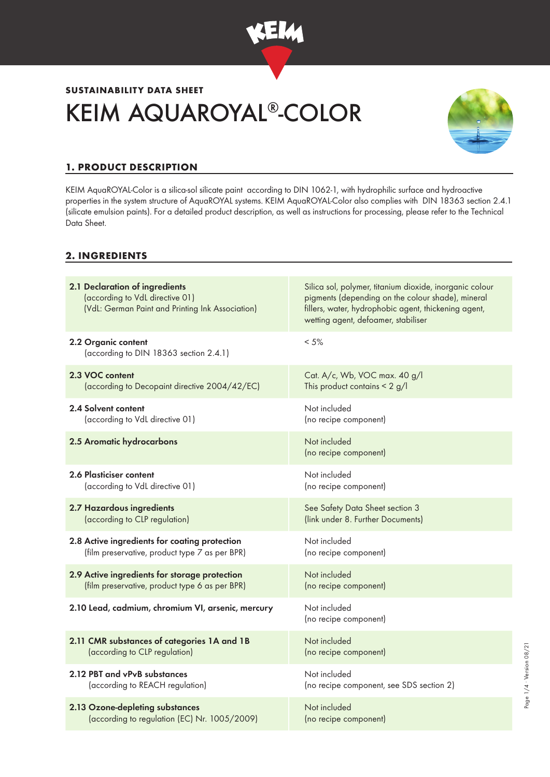

# **SUSTAINABILITY DATA SHEET** KEIM AQUAROYAL®-COLOR



Page 1/4 ∙ Version 08/21

Page 1/4 · Version 08/21

# **1. PRODUCT DESCRIPTION**

KEIM AquaROYAL-Color is a silica-sol silicate paint according to DIN 1062-1, with hydrophilic surface and hydroactive properties in the system structure of AquaROYAL systems. KEIM AquaROYAL-Color also complies with DIN 18363 section 2.4.1 (silicate emulsion paints). For a detailed product description, as well as instructions for processing, please refer to the Technical Data Sheet.

## **2. INGREDIENTS**

| 2.1 Declaration of ingredients<br>(according to VdL directive 01)<br>(VdL: German Paint and Printing Ink Association) | Silica sol, polymer, titanium dioxide, inorganic colour<br>pigments (depending on the colour shade), mineral<br>fillers, water, hydrophobic agent, thickening agent,<br>wetting agent, defoamer, stabiliser |
|-----------------------------------------------------------------------------------------------------------------------|-------------------------------------------------------------------------------------------------------------------------------------------------------------------------------------------------------------|
| 2.2 Organic content<br>(according to DIN 18363 section 2.4.1)                                                         | $< 5\%$                                                                                                                                                                                                     |
| 2.3 VOC content                                                                                                       | Cat. A/c, Wb, VOC max. 40 g/l                                                                                                                                                                               |
| (according to Decopaint directive 2004/42/EC)                                                                         | This product contains $\leq 2$ g/l                                                                                                                                                                          |
| 2.4 Solvent content                                                                                                   | Not included                                                                                                                                                                                                |
| (according to VdL directive 01)                                                                                       | (no recipe component)                                                                                                                                                                                       |
| 2.5 Aromatic hydrocarbons                                                                                             | Not included<br>(no recipe component)                                                                                                                                                                       |
| 2.6 Plasticiser content                                                                                               | Not included                                                                                                                                                                                                |
| (according to VdL directive 01)                                                                                       | (no recipe component)                                                                                                                                                                                       |
| 2.7 Hazardous ingredients                                                                                             | See Safety Data Sheet section 3                                                                                                                                                                             |
| (according to CLP regulation)                                                                                         | (link under 8. Further Documents)                                                                                                                                                                           |
| 2.8 Active ingredients for coating protection                                                                         | Not included                                                                                                                                                                                                |
| (film preservative, product type 7 as per BPR)                                                                        | (no recipe component)                                                                                                                                                                                       |
| 2.9 Active ingredients for storage protection                                                                         | Not included                                                                                                                                                                                                |
| (film preservative, product type 6 as per BPR)                                                                        | (no recipe component)                                                                                                                                                                                       |
| 2.10 Lead, cadmium, chromium VI, arsenic, mercury                                                                     | Not included<br>(no recipe component)                                                                                                                                                                       |
| 2.11 CMR substances of categories 1A and 1B                                                                           | Not included                                                                                                                                                                                                |
| (according to CLP regulation)                                                                                         | (no recipe component)                                                                                                                                                                                       |
| 2.12 PBT and vPvB substances                                                                                          | Not included                                                                                                                                                                                                |
| (according to REACH regulation)                                                                                       | (no recipe component, see SDS section 2)                                                                                                                                                                    |
| 2.13 Ozone-depleting substances                                                                                       | Not included                                                                                                                                                                                                |
| (according to regulation (EC) Nr. 1005/2009)                                                                          | (no recipe component)                                                                                                                                                                                       |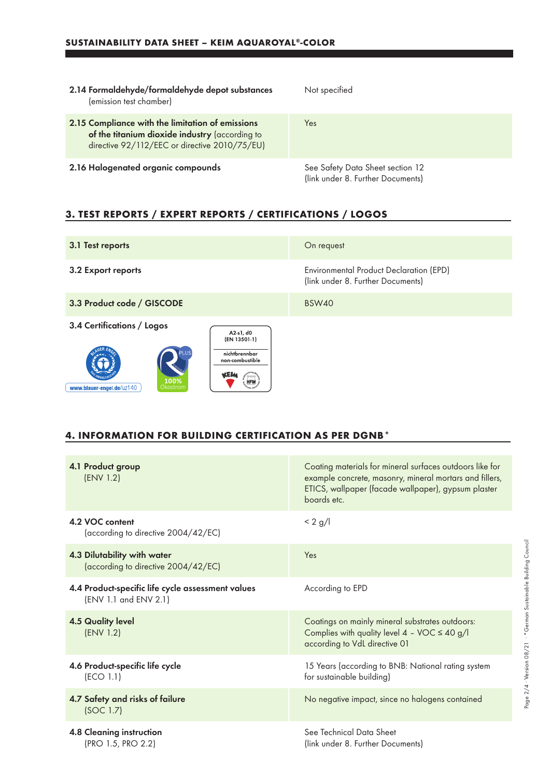a sa kacamatan ing Kabupatèn Kabupatèn Kabupatèn Kabupatèn Kabupatèn Kabupatèn Kabupatèn Kabupatèn Kabupatèn K

| 2.14 Formaldehyde/formaldehyde depot substances<br>(emission test chamber)                                                                          | Not specified                                                         |
|-----------------------------------------------------------------------------------------------------------------------------------------------------|-----------------------------------------------------------------------|
| 2.15 Compliance with the limitation of emissions<br>of the titanium dioxide industry (according to<br>directive 92/112/EEC or directive 2010/75/EU) | Yes                                                                   |
| 2.16 Halogenated organic compounds                                                                                                                  | See Safety Data Sheet section 12<br>(link under 8. Further Documents) |

# **3. TEST REPORTS / EXPERT REPORTS / CERTIFICATIONS / LOGOS**

| 3.1 Test reports                                                                                                                               | On request                                                                          |
|------------------------------------------------------------------------------------------------------------------------------------------------|-------------------------------------------------------------------------------------|
| 3.2 Export reports                                                                                                                             | <b>Environmental Product Declaration (EPD)</b><br>(link under 8. Further Documents) |
| 3.3 Product code / GISCODE                                                                                                                     | <b>BSW40</b>                                                                        |
| 3.4 Certifications / Logos<br>A2-s1, d0<br>(EN 13501-1)<br>nichtbrennbar<br>non-combustible<br>100%<br><b>HFM</b><br>www.blauer-engel.de/uz140 |                                                                                     |

#### **4. INFORMATION FOR BUILDING CERTIFICATION AS PER DGNB\***

| 4.1 Product group<br>(ENV 1.2)                                             | Coating materials for mineral surfaces outdoors like for<br>example concrete, masonry, mineral mortars and fillers,<br>ETICS, wallpaper (facade wallpaper), gypsum plaster<br>boards etc. |
|----------------------------------------------------------------------------|-------------------------------------------------------------------------------------------------------------------------------------------------------------------------------------------|
| 4.2 VOC content<br>(according to directive 2004/42/EC)                     | $< 2$ g/l                                                                                                                                                                                 |
| 4.3 Dilutability with water<br>(according to directive 2004/42/EC)         | Yes                                                                                                                                                                                       |
| 4.4 Product-specific life cycle assessment values<br>(ENV 1.1 and ENV 2.1) | According to EPD                                                                                                                                                                          |
| <b>4.5 Quality level</b><br>(ENV 1.2)                                      | Coatings on mainly mineral substrates outdoors:<br>Complies with quality level $4 - \sqrt{OC} \le 40 \frac{g}{l}$<br>according to VdL directive 01                                        |
| 4.6 Product-specific life cycle<br>(ECO 1.1)                               | 15 Years (according to BNB: National rating system<br>for sustainable building)                                                                                                           |
| 4.7 Safety and risks of failure<br>(SOC 1.7)                               | No negative impact, since no halogens contained                                                                                                                                           |
| 4.8 Cleaning instruction<br>(PRO 1.5, PRO 2.2)                             | See Technical Data Sheet<br>(link under 8. Further Documents)                                                                                                                             |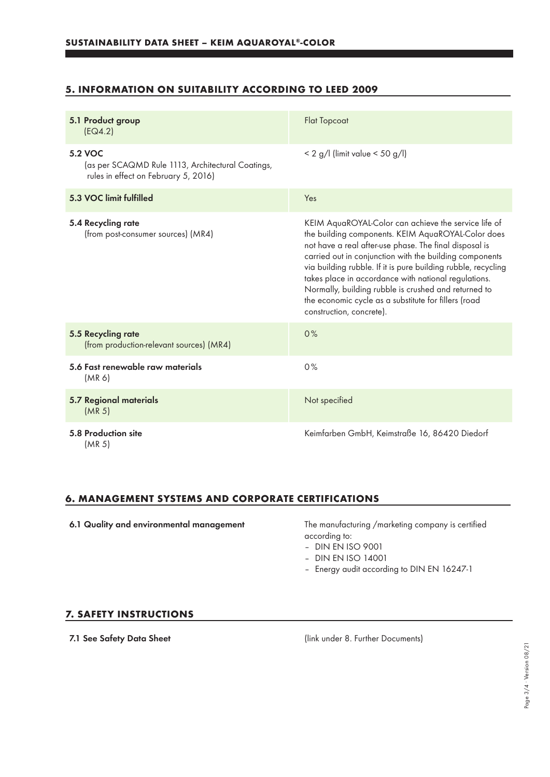## **5. INFORMATION ON SUITABILITY ACCORDING TO LEED 2009**

| 5.1 Product group<br>(EQ4.2)                                                                                | <b>Flat Topcoat</b>                                                                                                                                                                                                                                                                                                                                                                                                                                                                                  |
|-------------------------------------------------------------------------------------------------------------|------------------------------------------------------------------------------------------------------------------------------------------------------------------------------------------------------------------------------------------------------------------------------------------------------------------------------------------------------------------------------------------------------------------------------------------------------------------------------------------------------|
| <b>5.2 VOC</b><br>(as per SCAQMD Rule 1113, Architectural Coatings,<br>rules in effect on February 5, 2016) | $< 2$ g/l (limit value $< 50$ g/l)                                                                                                                                                                                                                                                                                                                                                                                                                                                                   |
| 5.3 VOC limit fulfilled                                                                                     | Yes                                                                                                                                                                                                                                                                                                                                                                                                                                                                                                  |
| 5.4 Recycling rate<br>(from post-consumer sources) (MR4)                                                    | KEIM AquaROYAL-Color can achieve the service life of<br>the building components. KEIM AquaROYAL-Color does<br>not have a real after-use phase. The final disposal is<br>carried out in conjunction with the building components<br>via building rubble. If it is pure building rubble, recycling<br>takes place in accordance with national regulations.<br>Normally, building rubble is crushed and returned to<br>the economic cycle as a substitute for fillers (road<br>construction, concrete). |
| 5.5 Recycling rate<br>(from production-relevant sources) (MR4)                                              | 0%                                                                                                                                                                                                                                                                                                                                                                                                                                                                                                   |
| 5.6 Fast renewable raw materials<br>(MR 6)                                                                  | 0%                                                                                                                                                                                                                                                                                                                                                                                                                                                                                                   |
| <b>5.7 Regional materials</b><br>(MR <sub>5</sub> )                                                         | Not specified                                                                                                                                                                                                                                                                                                                                                                                                                                                                                        |
| 5.8 Production site<br>(MR <sub>5</sub> )                                                                   | Keimfarben GmbH, Keimstraße 16, 86420 Diedorf                                                                                                                                                                                                                                                                                                                                                                                                                                                        |

### **6. MANAGEMENT SYSTEMS AND CORPORATE CERTIFICATIONS**

6.1 Quality and environmental management The manufacturing /marketing company is certified according to:

- DIN EN ISO 9001
- DIN EN ISO 14001
- Energy audit according to DIN EN 16247-1

#### **7. SAFETY INSTRUCTIONS**

7.1 See Safety Data Sheet (link under 8. Further Documents)